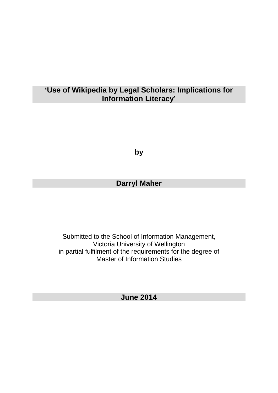## **'Use of Wikipedia by Legal Scholars: Implications for Information Literacy'**

**by**

# **Darryl Maher**

Submitted to the School of Information Management, Victoria University of Wellington in partial fulfilment of the requirements for the degree of Master of Information Studies

**June 2014**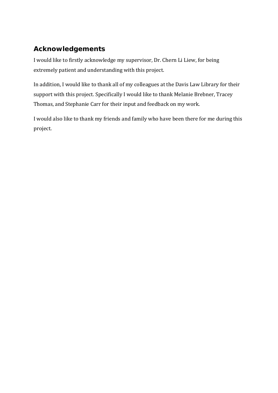# **Acknowledgements**

I would like to firstly acknowledge my supervisor, Dr. Chern Li Liew, for being extremely patient and understanding with this project.

In addition, I would like to thank all of my colleagues at the Davis Law Library for their support with this project. Specifically I would like to thank Melanie Brebner, Tracey Thomas, and Stephanie Carr for their input and feedback on my work.

I would also like to thank my friends and family who have been there for me during this project.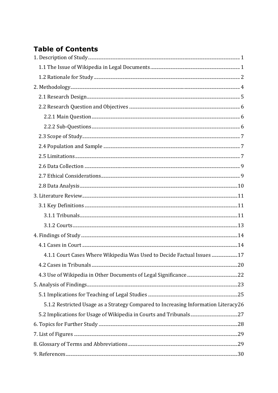# **Table of Contents**

| 4.1.1 Court Cases Where Wikipedia Was Used to Decide Factual Issues 17              |  |
|-------------------------------------------------------------------------------------|--|
|                                                                                     |  |
|                                                                                     |  |
|                                                                                     |  |
|                                                                                     |  |
| 5.1.2 Restricted Usage as a Strategy Compared to Increasing Information Literacy 26 |  |
|                                                                                     |  |
|                                                                                     |  |
|                                                                                     |  |
|                                                                                     |  |
|                                                                                     |  |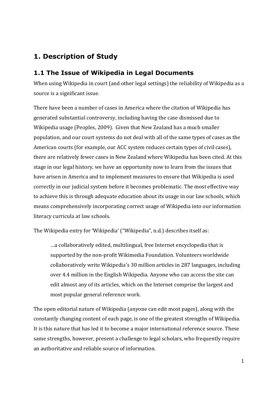# <span id="page-3-0"></span>**1. Description of Study**

## <span id="page-3-1"></span>**1.1 The Issue of Wikipedia in Legal Documents**

When using Wikipedia in court (and other legal settings) the reliability of Wikipedia as a source is a significant issue.

There have been a number of cases in America where the citation of Wikipedia has generated substantial controversy, including having the case dismissed due to Wikipedia usage (Peoples, 2009). Given that New Zealand has a much smaller population, and our court systems do not deal with all of the same types of cases as the American courts (for example, our ACC system reduces certain types of civil cases), there are relatively fewer cases in New Zealand where Wikipedia has been cited. At this stage in our legal history, we have an opportunity now to learn from the issues that have arisen in America and to implement measures to ensure that Wikipedia is used correctly in our judicial system before it becomes problematic. The most effective way to achieve this is through adequate education about its usage in our law schools, which means comprehensively incorporating correct usage of Wikipedia into our information literacy curricula at law schools.

The Wikipedia entry for 'Wikipedia' ("Wikipedia", n.d.) describes itself as:

…a collaboratively edited, multilingual, free Internet encyclopedia that is supported by the non-profit Wikimedia Foundation. Volunteers worldwide collaboratively write Wikipedia's 30 million articles in 287 languages, including over 4.4 million in the English Wikipedia. Anyone who can access the site can edit almost any of its articles, which on the Internet comprise the largest and most popular general reference work.

The open editorial nature of Wikipedia (anyone can edit most pages), along with the constantly changing content of each page, is one of the greatest strengths of Wikipedia. It is this nature that has led it to become a major international reference source. These same strengths, however, present a challenge to legal scholars, who frequently require an authoritative and reliable source of information.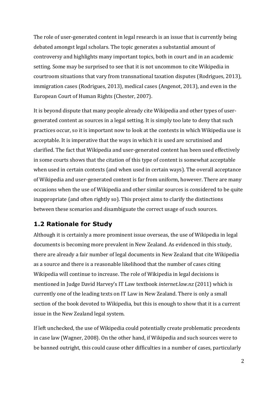The role of user-generated content in legal research is an issue that is currently being debated amongst legal scholars. The topic generates a substantial amount of controversy and highlights many important topics, both in court and in an academic setting. Some may be surprised to see that it is not uncommon to cite Wikipedia in courtroom situations that vary from transnational taxation disputes (Rodrigues, 2013), immigration cases (Rodrigues, 2013), medical cases (Angenot, 2013), and even in the European Court of Human Rights (Chester, 2007).

It is beyond dispute that many people already cite Wikipedia and other types of usergenerated content as sources in a legal setting. It is simply too late to deny that such practices occur, so it is important now to look at the contexts in which Wikipedia use is acceptable. It is imperative that the ways in which it is used are scrutinised and clarified. The fact that Wikipedia and user-generated content has been used effectively in some courts shows that the citation of this type of content is somewhat acceptable when used in certain contexts (and when used in certain ways). The overall acceptance of Wikipedia and user-generated content is far from uniform, however. There are many occasions when the use of Wikipedia and other similar sources is considered to be quite inappropriate (and often rightly so). This project aims to clarify the distinctions between these scenarios and disambiguate the correct usage of such sources.

### <span id="page-4-0"></span>**1.2 Rationale for Study**

Although it is certainly a more prominent issue overseas, the use of Wikipedia in legal documents is becoming more prevalent in New Zealand. As evidenced in this study, there are already a fair number of legal documents in New Zealand that cite Wikipedia as a source and there is a reasonable likelihood that the number of cases citing Wikipedia will continue to increase. The role of Wikipedia in legal decisions is mentioned in Judge David Harvey's IT Law textbook *internet.law.nz* (2011) which is currently one of the leading texts on IT Law in New Zealand. There is only a small section of the book devoted to Wikipedia, but this is enough to show that it is a current issue in the New Zealand legal system.

If left unchecked, the use of Wikipedia could potentially create problematic precedents in case law (Wagner, 2008). On the other hand, if Wikipedia and such sources were to be banned outright, this could cause other difficulties in a number of cases, particularly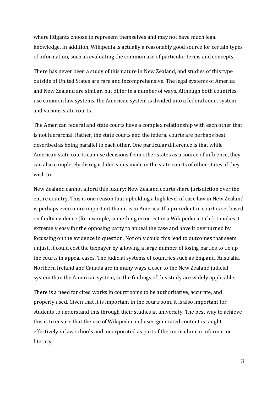where litigants choose to represent themselves and may not have much legal knowledge. In addition, Wikipedia is actually a reasonably good source for certain types of information, such as evaluating the common use of particular terms and concepts.

There has never been a study of this nature in New Zealand, and studies of this type outside of United States are rare and incomprehensive. The legal systems of America and New Zealand are similar, but differ in a number of ways. Although both countries use common law systems, the American system is divided into a federal court system and various state courts.

The American federal and state courts have a complex relationship with each other that is not hierarchal. Rather, the state courts and the federal courts are perhaps best described as being parallel to each other. One particular difference is that while American state courts can use decisions from other states as a source of influence, they can also completely disregard decisions made in the state courts of other states, if they wish to.

New Zealand cannot afford this luxury; New Zealand courts share jurisdiction over the entire country. This is one reason that upholding a high level of case law in New Zealand is perhaps even more important than it is in America. If a precedent in court is set based on faulty evidence (for example, something incorrect in a Wikipedia article) it makes it extremely easy for the opposing party to appeal the case and have it overturned by focussing on the evidence in question. Not only could this lead to outcomes that seem unjust, it could cost the taxpayer by allowing a large number of losing parties to tie up the courts in appeal cases. The judicial systems of countries such as England, Australia, Northern Ireland and Canada are in many ways closer to the New Zealand judicial system than the American system, so the findings of this study are widely applicable.

There is a need for cited works in courtrooms to be authoritative, accurate, and properly used. Given that it is important in the courtroom, it is also important for students to understand this through their studies at university. The best way to achieve this is to ensure that the use of Wikipedia and user-generated content is taught effectively in law schools and incorporated as part of the curriculum in information literacy.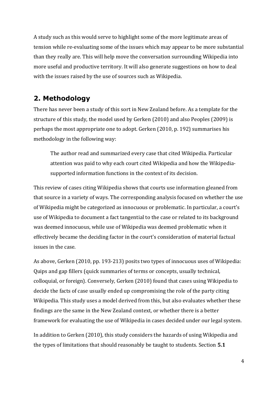A study such as this would serve to highlight some of the more legitimate areas of tension while re-evaluating some of the issues which may appear to be more substantial than they really are. This will help move the conversation surrounding Wikipedia into more useful and productive territory. It will also generate suggestions on how to deal with the issues raised by the use of sources such as Wikipedia.

# <span id="page-6-0"></span>**2. Methodology**

There has never been a study of this sort in New Zealand before. As a template for the structure of this study, the model used by Gerken (2010) and also Peoples (2009) is perhaps the most appropriate one to adopt. Gerken (2010, p. 192) summarises his methodology in the following way:

The author read and summarized every case that cited Wikipedia. Particular attention was paid to why each court cited Wikipedia and how the Wikipediasupported information functions in the context of its decision.

This review of cases citing Wikipedia shows that courts use information gleaned from that source in a variety of ways. The corresponding analysis focused on whether the use of Wikipedia might be categorized as innocuous or problematic. In particular, a court's use of Wikipedia to document a fact tangential to the case or related to its background was deemed innocuous, while use of Wikipedia was deemed problematic when it effectively became the deciding factor in the court's consideration of material factual issues in the case.

As above, Gerken (2010, pp. 193-213) posits two types of innocuous uses of Wikipedia: Quips and gap fillers (quick summaries of terms or concepts, usually technical, colloquial, or foreign). Conversely, Gerken (2010) found that cases using Wikipedia to decide the facts of case usually ended up compromising the role of the party citing Wikipedia. This study uses a model derived from this, but also evaluates whether these findings are the same in the New Zealand context, or whether there is a better framework for evaluating the use of Wikipedia in cases decided under our legal system.

In addition to Gerken (2010), this study considers the hazards of using Wikipedia and the types of limitations that should reasonably be taught to students. Section **5.1**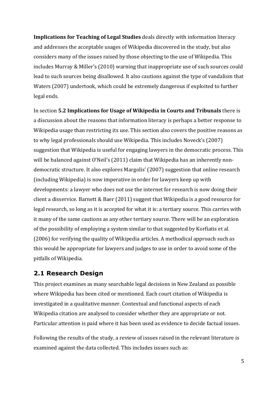**Implications for Teaching of Legal Studies** deals directly with information literacy and addresses the acceptable usages of Wikipedia discovered in the study, but also considers many of the issues raised by those objecting to the use of Wikipedia. This includes Murray & Miller's (2010) warning that inappropriate use of such sources could lead to such sources being disallowed. It also cautions against the type of vandalism that Waters (2007) undertook, which could be extremely dangerous if exploited to further legal ends.

In section **5.2 Implications for Usage of Wikipedia in Courts and Tribunals** there is a discussion about the reasons that information literacy is perhaps a better response to Wikipedia usage than restricting its use. This section also covers the positive reasons as to why legal professionals should use Wikipedia. This includes Noveck's (2007) suggestion that Wikipedia is useful for engaging lawyers in the democratic process. This will be balanced against O'Neil's (2011) claim that Wikipedia has an inherently nondemocratic structure. It also explores Margolis' (2007) suggestion that online research (including Wikipedia) is now imperative in order for lawyers keep up with developments: a lawyer who does not use the internet for research is now doing their client a disservice. Barnett & Baer (2011) suggest that Wikipedia is a good resource for legal research, so long as it is accepted for what it is: a tertiary source. This carries with it many of the same cautions as any other tertiary source. There will be an exploration of the possibility of employing a system similar to that suggested by Korfiatis et al. (2006) for verifying the quality of Wikipedia articles. A methodical approach such as this would be appropriate for lawyers and judges to use in order to avoid some of the pitfalls of Wikipedia.

#### <span id="page-7-0"></span>**2.1 Research Design**

This project examines as many searchable legal decisions in New Zealand as possible where Wikipedia has been cited or mentioned. Each court citation of Wikipedia is investigated in a qualitative manner. Contextual and functional aspects of each Wikipedia citation are analysed to consider whether they are appropriate or not. Particular attention is paid where it has been used as evidence to decide factual issues.

Following the results of the study, a review of issues raised in the relevant literature is examined against the data collected. This includes issues such as: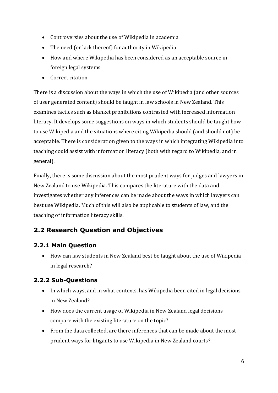- Controversies about the use of Wikipedia in academia
- The need (or lack thereof) for authority in Wikipedia
- How and where Wikipedia has been considered as an acceptable source in foreign legal systems
- Correct citation

There is a discussion about the ways in which the use of Wikipedia (and other sources of user generated content) should be taught in law schools in New Zealand. This examines tactics such as blanket prohibitions contrasted with increased information literacy. It develops some suggestions on ways in which students should be taught how to use Wikipedia and the situations where citing Wikipedia should (and should not) be acceptable. There is consideration given to the ways in which integrating Wikipedia into teaching could assist with information literacy (both with regard to Wikipedia, and in general).

Finally, there is some discussion about the most prudent ways for judges and lawyers in New Zealand to use Wikipedia. This compares the literature with the data and investigates whether any inferences can be made about the ways in which lawyers can best use Wikipedia. Much of this will also be applicable to students of law, and the teaching of information literacy skills.

## <span id="page-8-0"></span>**2.2 Research Question and Objectives**

### <span id="page-8-1"></span>**2.2.1 Main Question**

 How can law students in New Zealand best be taught about the use of Wikipedia in legal research?

### <span id="page-8-2"></span>**2.2.2 Sub-Questions**

- In which ways, and in what contexts, has Wikipedia been cited in legal decisions in New Zealand?
- How does the current usage of Wikipedia in New Zealand legal decisions compare with the existing literature on the topic?
- From the data collected, are there inferences that can be made about the most prudent ways for litigants to use Wikipedia in New Zealand courts?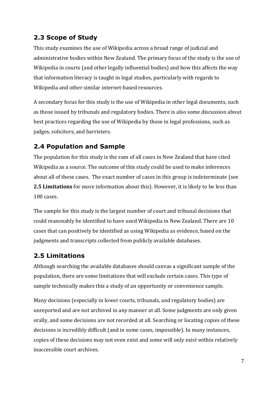## <span id="page-9-0"></span>**2.3 Scope of Study**

This study examines the use of Wikipedia across a broad range of judicial and administrative bodies within New Zealand. The primary focus of the study is the use of Wikipedia in courts (and other legally influential bodies) and how this affects the way that information literacy is taught in legal studies, particularly with regards to Wikipedia and other similar internet-based resources.

A secondary focus for this study is the use of Wikipedia in other legal documents, such as those issued by tribunals and regulatory bodies. There is also some discussion about best practices regarding the use of Wikipedia by those in legal professions, such as judges, solicitors, and barristers.

## <span id="page-9-1"></span>**2.4 Population and Sample**

The population for this study is the sum of all cases in New Zealand that have cited Wikipedia as a source. The outcome of this study could be used to make inferences about all of these cases. The exact number of cases in this group is indeterminate (see **2.5 Limitations** for more information about this). However, it is likely to be less than 100 cases.

The sample for this study is the largest number of court and tribunal decisions that could reasonably be identified to have used Wikipedia in New Zealand. There are 10 cases that can positively be identified as using Wikipedia as evidence, based on the judgments and transcripts collected from publicly available databases.

## <span id="page-9-2"></span>**2.5 Limitations**

Although searching the available databases should canvas a significant sample of the population, there are some limitations that will exclude certain cases. This type of sample technically makes this a study of an opportunity or convenience sample.

Many decisions (especially in lower courts, tribunals, and regulatory bodies) are unreported and are not archived in any manner at all. Some judgments are only given orally, and some decisions are not recorded at all. Searching or locating copies of these decisions is incredibly difficult (and in some cases, impossible). In many instances, copies of these decisions may not even exist and some will only exist within relatively inaccessible court archives.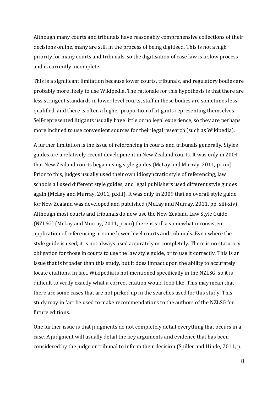Although many courts and tribunals have reasonably comprehensive collections of their decisions online, many are still in the process of being digitised. This is not a high priority for many courts and tribunals, so the digitisation of case law is a slow process and is currently incomplete.

This is a significant limitation because lower courts, tribunals, and regulatory bodies are probably more likely to use Wikipedia. The rationale for this hypothesis is that there are less stringent standards in lower level courts, staff in these bodies are sometimes less qualified, and there is often a higher proportion of litigants representing themselves. Self-represented litigants usually have little or no legal experience, so they are perhaps more inclined to use convenient sources for their legal research (such as Wikipedia).

A further limitation is the issue of referencing in courts and tribunals generally. Styles guides are a relatively recent development in New Zealand courts. It was only in 2004 that New Zealand courts began using style guides (McLay and Murray, 2011, p. xiii). Prior to this, judges usually used their own idiosyncratic style of referencing, law schools all used different style guides, and legal publishers used different style guides again (McLay and Murray, 2011, p.xiii). It was only in 2009 that an overall style guide for New Zealand was developed and published (McLay and Murray, 2011, pp. xiii-xiv). Although most courts and tribunals do now use the New Zealand Law Style Guide (NZLSG) (McLay and Murray, 2011, p. xiii) there is still a somewhat inconsistent application of referencing in some lower level courts and tribunals. Even where the style guide is used, it is not always used accurately or completely. There is no statutory obligation for those in courts to use the law style guide, or to use it correctly. This is an issue that is broader than this study, but it does impact upon the ability to accurately locate citations. In fact, Wikipedia is not mentioned specifically in the NZLSG, so it is difficult to verify exactly what a correct citation would look like. This may mean that there are some cases that are not picked up in the searches used for this study. This study may in fact be used to make recommendations to the authors of the NZLSG for future editions.

One further issue is that judgments do not completely detail everything that occurs in a case. A judgment will usually detail the key arguments and evidence that has been considered by the judge or tribunal to inform their decision (Spiller and Hinde, 2011, p.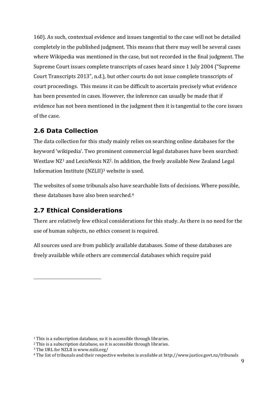160). As such, contextual evidence and issues tangential to the case will not be detailed completely in the published judgment. This means that there may well be several cases where Wikipedia was mentioned in the case, but not recorded in the final judgment. The Supreme Court issues complete transcripts of cases heard since 1 July 2004 ("Supreme Court Transcripts 2013", n.d.), but other courts do not issue complete transcripts of court proceedings. This means it can be difficult to ascertain precisely what evidence has been presented in cases. However, the inference can usually be made that if evidence has not been mentioned in the judgment then it is tangential to the core issues of the case.

## <span id="page-11-0"></span>**2.6 Data Collection**

The data collection for this study mainly relies on searching online databases for the keyword 'wikipedia'. Two prominent commercial legal databases have been searched: Westlaw NZ<sup>1</sup> and LexisNexis NZ<sup>2</sup>. In addition, the freely available New Zealand Legal Information Institute (NZLII) <sup>3</sup> website is used.

The websites of some tribunals also have searchable lists of decisions. Where possible, these databases have also been searched.<sup>4</sup>

## <span id="page-11-1"></span>**2.7 Ethical Considerations**

There are relatively few ethical considerations for this study. As there is no need for the use of human subjects, no ethics consent is required.

All sources used are from publicly available databases. Some of these databases are freely available while others are commercial databases which require paid

<u>.</u>

<sup>&</sup>lt;sup>1</sup> This is a subscription database, so it is accessible through libraries.

<sup>2</sup> This is a subscription database, so it is accessible through libraries.

<sup>3</sup> The URL for NZLII is www.nzlii.org/

<sup>4</sup> The list of tribunals and their respective websites is available at http://www.justice.govt.nz/tribunals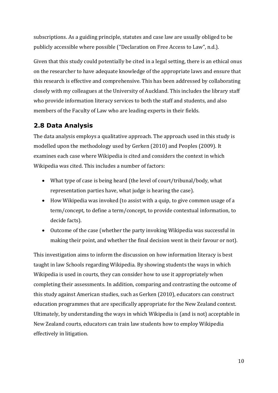subscriptions. As a guiding principle, statutes and case law are usually obliged to be publicly accessible where possible ("Declaration on Free Access to Law", n.d.).

Given that this study could potentially be cited in a legal setting, there is an ethical onus on the researcher to have adequate knowledge of the appropriate laws and ensure that this research is effective and comprehensive. This has been addressed by collaborating closely with my colleagues at the University of Auckland. This includes the library staff who provide information literacy services to both the staff and students, and also members of the Faculty of Law who are leading experts in their fields.

## <span id="page-12-0"></span>**2.8 Data Analysis**

The data analysis employs a qualitative approach. The approach used in this study is modelled upon the methodology used by Gerken (2010) and Peoples (2009). It examines each case where Wikipedia is cited and considers the context in which Wikipedia was cited. This includes a number of factors:

- What type of case is being heard (the level of court/tribunal/body, what representation parties have, what judge is hearing the case).
- How Wikipedia was invoked (to assist with a quip, to give common usage of a term/concept, to define a term/concept, to provide contextual information, to decide facts).
- Outcome of the case (whether the party invoking Wikipedia was successful in making their point, and whether the final decision went in their favour or not).

This investigation aims to inform the discussion on how information literacy is best taught in law Schools regarding Wikipedia. By showing students the ways in which Wikipedia is used in courts, they can consider how to use it appropriately when completing their assessments. In addition, comparing and contrasting the outcome of this study against American studies, such as Gerken (2010), educators can construct education programmes that are specifically appropriate for the New Zealand context. Ultimately, by understanding the ways in which Wikipedia is (and is not) acceptable in New Zealand courts, educators can train law students how to employ Wikipedia effectively in litigation.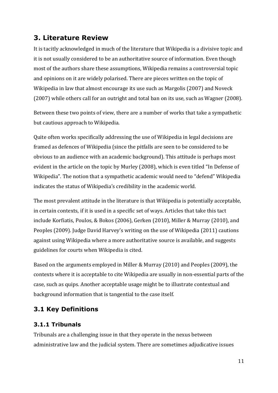## <span id="page-13-0"></span>**3. Literature Review**

It is tacitly acknowledged in much of the literature that Wikipedia is a divisive topic and it is not usually considered to be an authoritative source of information. Even though most of the authors share these assumptions, Wikipedia remains a controversial topic and opinions on it are widely polarised. There are pieces written on the topic of Wikipedia in law that almost encourage its use such as Margolis (2007) and Noveck (2007) while others call for an outright and total ban on its use, such as Wagner (2008).

Between these two points of view, there are a number of works that take a sympathetic but cautious approach to Wikipedia.

Quite often works specifically addressing the use of Wikipedia in legal decisions are framed as defences of Wikipedia (since the pitfalls are seen to be considered to be obvious to an audience with an academic background). This attitude is perhaps most evident in the article on the topic by Murley (2008), which is even titled "In Defense of Wikipedia". The notion that a sympathetic academic would need to "defend" Wikipedia indicates the status of Wikipedia's credibility in the academic world.

The most prevalent attitude in the literature is that Wikipedia is potentially acceptable, in certain contexts, if it is used in a specific set of ways. Articles that take this tact include Korfiatis, Poulos, & Bokos (2006), Gerken (2010), Miller & Murray (2010), and Peoples (2009). Judge David Harvey's writing on the use of Wikipedia (2011) cautions against using Wikipedia where a more authoritative source is available, and suggests guidelines for courts when Wikipedia is cited.

Based on the arguments employed in Miller & Murray (2010) and Peoples (2009), the contexts where it is acceptable to cite Wikipedia are usually in non-essential parts of the case, such as quips. Another acceptable usage might be to illustrate contextual and background information that is tangential to the case itself.

## <span id="page-13-1"></span>**3.1 Key Definitions**

#### <span id="page-13-2"></span>**3.1.1 Tribunals**

Tribunals are a challenging issue in that they operate in the nexus between administrative law and the judicial system. There are sometimes adjudicative issues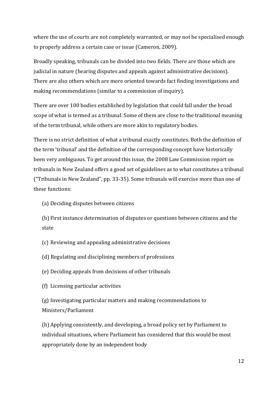where the use of courts are not completely warranted, or may not be specialised enough to properly address a certain case or issue (Cameron, 2009).

Broadly speaking, tribunals can be divided into two fields. There are those which are judicial in nature (hearing disputes and appeals against administrative decisions). There are also others which are more oriented towards fact finding investigations and making recommendations (similar to a commission of inquiry).

There are over 100 bodies established by legislation that could fall under the broad scope of what is termed as a tribunal. Some of them are close to the traditional meaning of the term tribunal, while others are more akin to regulatory bodies.

There is no strict definition of what a tribunal exactly constitutes. Both the definition of the term 'tribunal' and the definition of the corresponding concept have historically been very ambiguous. To get around this issue, the 2008 Law Commission report on tribunals in New Zealand offers a good set of guidelines as to what constitutes a tribunal ("Tribunals in New Zealand", pp. 33-35). Some tribunals will exercise more than one of these functions:

(a) Deciding disputes between citizens

(b) First instance determination of disputes or questions between citizens and the state

- (c) Reviewing and appealing administrative decisions
- (d) Regulating and disciplining members of professions
- (e) Deciding appeals from decisions of other tribunals
- (f) Licensing particular activities

(g) Investigating particular matters and making recommendations to Ministers/Parliament

(h) Applying consistently, and developing, a broad policy set by Parliament to individual situations, where Parliament has considered that this would be most appropriately done by an independent body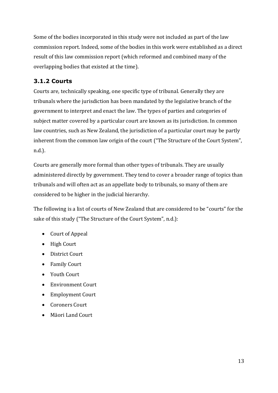Some of the bodies incorporated in this study were not included as part of the law commission report. Indeed, some of the bodies in this work were established as a direct result of this law commission report (which reformed and combined many of the overlapping bodies that existed at the time).

## <span id="page-15-0"></span>**3.1.2 Courts**

Courts are, technically speaking, one specific type of tribunal. Generally they are tribunals where the jurisdiction has been mandated by the legislative branch of the government to interpret and enact the law. The types of parties and categories of subject matter covered by a particular court are known as its jurisdiction. In common law countries, such as New Zealand, the jurisdiction of a particular court may be partly inherent from the common law origin of the court ("The Structure of the Court System", n.d.).

Courts are generally more formal than other types of tribunals. They are usually administered directly by government. They tend to cover a broader range of topics than tribunals and will often act as an appellate body to tribunals, so many of them are considered to be higher in the judicial hierarchy.

The following is a list of courts of New Zealand that are considered to be "courts" for the sake of this study ("The Structure of the Court System", n.d.):

- Court of Appeal
- High Court
- District Court
- Family Court
- Youth Court
- Environment Court
- Employment Court
- Coroners Court
- Māori Land Court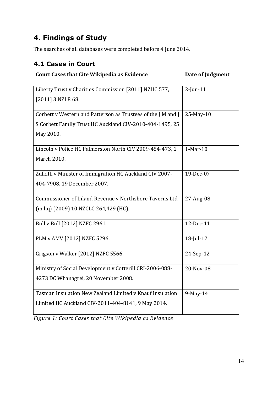# <span id="page-16-0"></span>**4. Findings of Study**

The searches of all databases were completed before 4 June 2014.

## <span id="page-16-1"></span>**4.1 Cases in Court**

#### **Court Cases that Cite Wikipedia as Evidence 5 10 Date of Judgment**

| Liberty Trust v Charities Commission [2011] NZHC 577,        | $2$ -Jun-11 |
|--------------------------------------------------------------|-------------|
| [2011] 3 NZLR 68.                                            |             |
|                                                              |             |
| Corbett v Western and Patterson as Trustees of the J M and J | 25-May-10   |
| S Corbett Family Trust HC Auckland CIV-2010-404-1495, 25     |             |
| May 2010.                                                    |             |
|                                                              |             |
| Lincoln v Police HC Palmerston North CIV 2009-454-473, 1     | $1-Mar-10$  |
| March 2010.                                                  |             |
|                                                              |             |
| Zulkifli v Minister of Immigration HC Auckland CIV 2007-     | 19-Dec-07   |
| 404-7908, 19 December 2007.                                  |             |
|                                                              |             |
| Commissioner of Inland Revenue v Northshore Taverns Ltd      | 27-Aug-08   |
| (in liq) (2009) 10 NZCLC 264,429 (HC).                       |             |
| Bull v Bull [2012] NZFC 2961.                                | 12-Dec-11   |
|                                                              |             |
| PLM v AMV [2012] NZFC 5296.                                  | 18-Jul-12   |
|                                                              |             |
| Grigson v Walker [2012] NZFC 5566.                           | 24-Sep-12   |
| Ministry of Social Development v Cotterill CRI-2006-088-     | 20-Nov-08   |
|                                                              |             |
| 4273 DC Whanagrei, 20 November 2008.                         |             |
| Tasman Insulation New Zealand Limited v Knauf Insulation     | 9-May-14    |
| Limited HC Auckland CIV-2011-404-8141, 9 May 2014.           |             |
|                                                              |             |

*Figure 1: Court Cases that Cite Wikipedia as Evidence*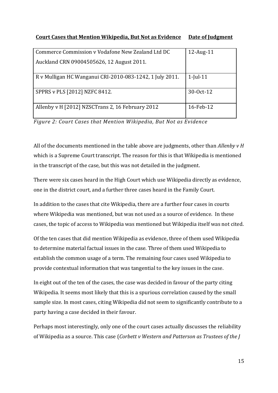#### **Court Cases that Mention Wikipedia, But Not as Evidence Date of Judgment**

| Commerce Commission v Vodafone New Zealand Ltd DC        | $12$ -Aug- $11$ |
|----------------------------------------------------------|-----------------|
| Auckland CRN 09004505626, 12 August 2011.                |                 |
| R v Mulligan HC Wanganui CRI-2010-083-1242, 1 July 2011. | $1$ -Jul-11     |
| SPPRS v PLS [2012] NZFC 8412.                            | 30-0ct-12       |
| Allenby v H [2012] NZSCTrans 2, 16 February 2012         | 16-Feb-12       |

*Figure 2: Court Cases that Mention Wikipedia, But Not as Evidence*

All of the documents mentioned in the table above are judgments, other than *Allenby v H* which is a Supreme Court transcript. The reason for this is that Wikipedia is mentioned in the transcript of the case, but this was not detailed in the judgment.

There were six cases heard in the High Court which use Wikipedia directly as evidence, one in the district court, and a further three cases heard in the Family Court.

In addition to the cases that cite Wikipedia, there are a further four cases in courts where Wikipedia was mentioned, but was not used as a source of evidence. In these cases, the topic of access to Wikipedia was mentioned but Wikipedia itself was not cited.

Of the ten cases that did mention Wikipedia as evidence, three of them used Wikipedia to determine material factual issues in the case. Three of them used Wikipedia to establish the common usage of a term. The remaining four cases used Wikipedia to provide contextual information that was tangential to the key issues in the case.

In eight out of the ten of the cases, the case was decided in favour of the party citing Wikipedia. It seems most likely that this is a spurious correlation caused by the small sample size. In most cases, citing Wikipedia did not seem to significantly contribute to a party having a case decided in their favour.

Perhaps most interestingly, only one of the court cases actually discusses the reliability of Wikipedia as a source. This case (*Corbett v Western and Patterson as Trustees of the J*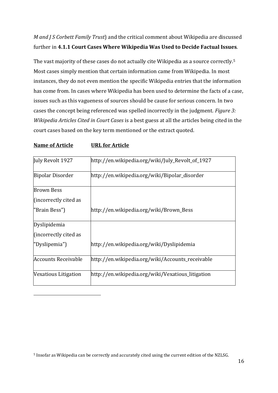*M and J S Corbett Family Trust*) and the critical comment about Wikipedia are discussed further in **4.1.1 Court Cases Where Wikipedia Was Used to Decide Factual Issues**.

The vast majority of these cases do not actually cite Wikipedia as a source correctly.<sup>5</sup> Most cases simply mention that certain information came from Wikipedia. In most instances, they do not even mention the specific Wikipedia entries that the information has come from. In cases where Wikipedia has been used to determine the facts of a case, issues such as this vagueness of sources should be cause for serious concern. In two cases the concept being referenced was spelled incorrectly in the judgment. *Figure 3: Wikipedia Articles Cited in Court Cases* is a best guess at all the articles being cited in the court cases based on the key term mentioned or the extract quoted.

#### **Name of Article URL for Article**

<u>.</u>

| July Revolt 1927           | http://en.wikipedia.org/wiki/July_Revolt_of_1927  |
|----------------------------|---------------------------------------------------|
| <b>Bipolar Disorder</b>    | http://en.wikipedia.org/wiki/Bipolar_disorder     |
| <b>Brown Bess</b>          |                                                   |
| (incorrectly cited as      |                                                   |
| "Brain Bess")              | http://en.wikipedia.org/wiki/Brown_Bess           |
| Dyslipidemia               |                                                   |
| (incorrectly cited as      |                                                   |
| "Dyslipemia")              | http://en.wikipedia.org/wiki/Dyslipidemia         |
| <b>Accounts Receivable</b> | http://en.wikipedia.org/wiki/Accounts_receivable  |
| Vexatious Litigation       | http://en.wikipedia.org/wiki/Vexatious_litigation |

<sup>5</sup> Insofar as Wikipedia can be correctly and accurately cited using the current edition of the NZLSG.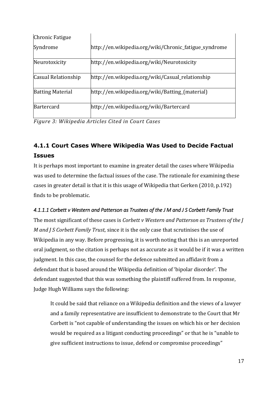| Chronic Fatigue         |                                                       |
|-------------------------|-------------------------------------------------------|
| Syndrome                | http://en.wikipedia.org/wiki/Chronic_fatigue_syndrome |
| Neurotoxicity           | http://en.wikipedia.org/wiki/Neurotoxicity            |
| Casual Relationship     | http://en.wikipedia.org/wiki/Casual_relationship      |
| <b>Batting Material</b> | http://en.wikipedia.org/wiki/Batting_(material)       |
| Bartercard              | http://en.wikipedia.org/wiki/Bartercard               |

*Figure 3: Wikipedia Articles Cited in Court Cases*

# <span id="page-19-0"></span>**4.1.1 Court Cases Where Wikipedia Was Used to Decide Factual Issues**

It is perhaps most important to examine in greater detail the cases where Wikipedia was used to determine the factual issues of the case. The rationale for examining these cases in greater detail is that it is this usage of Wikipedia that Gerken (2010, p.192) finds to be problematic.

### *4.1.1.1 Corbett v Western and Patterson as Trustees of the J M and J S Corbett Family Trust*

The most significant of these cases is *Corbett v Western and Patterson as Trustees of the J M and J S Corbett Family Trust*, since it is the only case that scrutinises the use of Wikipedia in any way. Before progressing, it is worth noting that this is an unreported oral judgment, so the citation is perhaps not as accurate as it would be if it was a written judgment. In this case, the counsel for the defence submitted an affidavit from a defendant that is based around the Wikipedia definition of 'bipolar disorder'. The defendant suggested that this was something the plaintiff suffered from. In response, Judge Hugh Williams says the following:

It could be said that reliance on a Wikipedia definition and the views of a lawyer and a family representative are insufficient to demonstrate to the Court that Mr Corbett is "not capable of understanding the issues on which his or her decision would be required as a litigant conducting proceedings" or that he is "unable to give sufficient instructions to issue, defend or compromise proceedings"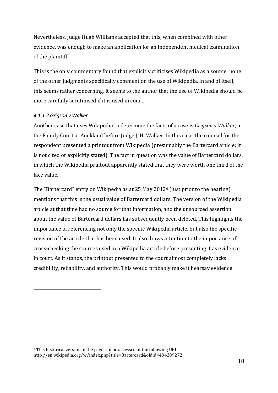Nevertheless, Judge Hugh Williams accepted that this, when combined with other evidence, was enough to make an application for an independent medical examination of the plaintiff.

This is the only commentary found that explicitly criticises Wikipedia as a source; none of the other judgments specifically comment on the use of Wikipedia. In and of itself, this seems rather concerning. It seems to the author that the use of Wikipedia should be more carefully scrutinised if it is used in court.

#### *4.1.1.2 Grigson v Walker*

<u>.</u>

Another case that uses Wikipedia to determine the facts of a case is *Grigson v Walker*, in the Family Court at Auckland before Judge J. H. Walker. In this case, the counsel for the respondent presented a printout from Wikipedia (presumably the Bartercard article; it is not cited or explicitly stated). The fact in question was the value of Bartercard dollars, in which the Wikipedia printout apparently stated that they were worth one third of the face value.

The "Bartercard" entry on Wikipedia as at 25 May 2012<sup>6</sup> (just prior to the hearing) mentions that this is the usual value of Bartercard dollars. The version of the Wikipedia article at that time had no source for that information, and the unsourced assertion about the value of Bartercard dollars has subsequently been deleted. This highlights the importance of referencing not only the specific Wikipedia article, but also the specific revision of the article that has been used. It also draws attention to the importance of cross-checking the sources used in a Wikipedia article before presenting it as evidence in court. As it stands, the printout presented to the court almost completely lacks credibility, reliability, and authority. This would probably make it hearsay evidence

<sup>6</sup> This historical version of the page can be accessed at the following URL: http://en.wikipedia.org/w/index.php?title=Bartercard&oldid=494289272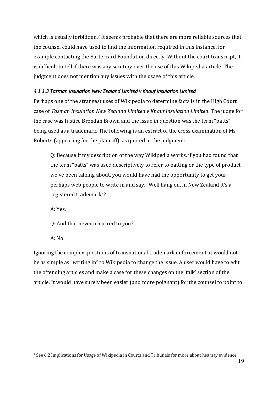which is usually forbidden.<sup>7</sup> It seems probable that there are more reliable sources that the counsel could have used to find the information required in this instance, for example contacting the Bartercard Foundation directly. Without the court transcript, it is difficult to tell if there was any scrutiny over the use of this Wikipedia article. The judgment does not mention any issues with the usage of this article.

#### *4.1.1.3 Tasman Insulation New Zealand Limited v Knauf Insulation Limited*

Perhaps one of the strangest uses of Wikipedia to determine facts is in the High Court case of *Tasman Insulation New Zealand Limited v Knauf Insulation Limited*. The judge for the case was Justice Brendan Brown and the issue in question was the term "batts" being used as a trademark. The following is an extract of the cross examination of Ms Roberts (appearing for the plaintiff), as quoted in the judgment:

Q: Because if my description of the way Wikipedia works, if you had found that the term "batts" was used descriptively to refer to batting or the type of product we've been talking about, you would have had the opportunity to get your perhaps web people to write in and say, "Well hang on, in New Zealand it's a registered trademark"?

A: Yes.

Q: And that never occurred to you?

A: No

<u>.</u>

Ignoring the complex questions of transnational trademark enforcement, it would not be as simple as "writing in" to Wikipedia to change the issue. A user would have to edit the offending articles and make a case for these changes on the 'talk' section of the article. It would have surely been easier (and more poignant) for the counsel to point to

<sup>7</sup> See 6.2 Implications for Usage of Wikipedia in Courts and Tribunals for more about hearsay evidence.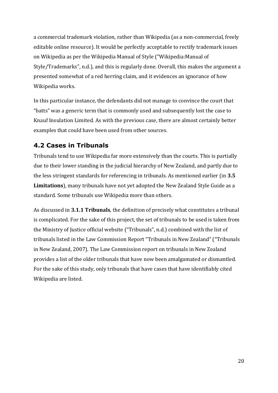a commercial trademark violation, rather than Wikipedia (as a non-commercial, freely editable online resource). It would be perfectly acceptable to rectify trademark issues on Wikipedia as per the Wikipedia Manual of Style ("Wikipedia:Manual of Style/Trademarks", n.d.), and this is regularly done. Overall, this makes the argument a presented somewhat of a red herring claim, and it evidences an ignorance of how Wikipedia works.

In this particular instance, the defendants did not manage to convince the court that "batts" was a generic term that is commonly used and subsequently lost the case to Knauf Insulation Limited. As with the previous case, there are almost certainly better examples that could have been used from other sources.

### <span id="page-22-0"></span>**4.2 Cases in Tribunals**

Tribunals tend to use Wikipedia far more extensively than the courts. This is partially due to their lower standing in the judicial hierarchy of New Zealand, and partly due to the less stringent standards for referencing in tribunals. As mentioned earlier (in **3.5 Limitations**), many tribunals have not yet adopted the New Zealand Style Guide as a standard. Some tribunals use Wikipedia more than others.

As discussed in **3.1.1 Tribunals**, the definition of precisely what constitutes a tribunal is complicated. For the sake of this project, the set of tribunals to be used is taken from the Ministry of Justice official website ("Tribunals", n.d.) combined with the list of tribunals listed in the Law Commission Report "Tribunals in New Zealand" ("Tribunals in New Zealand, 2007). The Law Commission report on tribunals in New Zealand provides a list of the older tribunals that have now been amalgamated or dismantled. For the sake of this study, only tribunals that have cases that have identifiably cited Wikipedia are listed.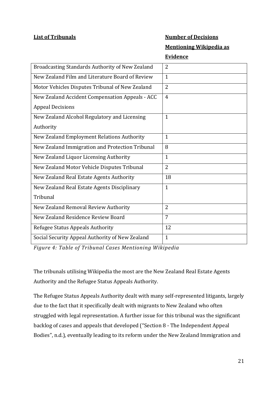#### **List of Tribunals Number of Decisions**

**Mentioning Wikipedia as** 

#### **Evidence**

| Broadcasting Standards Authority of New Zealand | $\overline{2}$ |
|-------------------------------------------------|----------------|
| New Zealand Film and Literature Board of Review | $\mathbf{1}$   |
| Motor Vehicles Disputes Tribunal of New Zealand | $\overline{2}$ |
| New Zealand Accident Compensation Appeals - ACC | $\overline{4}$ |
| <b>Appeal Decisions</b>                         |                |
| New Zealand Alcohol Regulatory and Licensing    | $\mathbf{1}$   |
| Authority                                       |                |
| New Zealand Employment Relations Authority      | $\mathbf{1}$   |
| New Zealand Immigration and Protection Tribunal | 8              |
| New Zealand Liquor Licensing Authority          | $\mathbf{1}$   |
| New Zealand Motor Vehicle Disputes Tribunal     | $\overline{2}$ |
| New Zealand Real Estate Agents Authority        | 18             |
| New Zealand Real Estate Agents Disciplinary     | $\mathbf{1}$   |
| Tribunal                                        |                |
| New Zealand Removal Review Authority            | $\overline{2}$ |
| New Zealand Residence Review Board              | $\overline{7}$ |
| Refugee Status Appeals Authority                | 12             |
| Social Security Appeal Authority of New Zealand | $\mathbf{1}$   |

*Figure 4: Table of Tribunal Cases Mentioning Wikipedia*

The tribunals utilising Wikipedia the most are the New Zealand Real Estate Agents Authority and the Refugee Status Appeals Authority.

The Refugee Status Appeals Authority dealt with many self-represented litigants, largely due to the fact that it specifically dealt with migrants to New Zealand who often struggled with legal representation. A further issue for this tribunal was the significant backlog of cases and appeals that developed ("Section 8 - The Independent Appeal Bodies", n.d.), eventually leading to its reform under the New Zealand Immigration and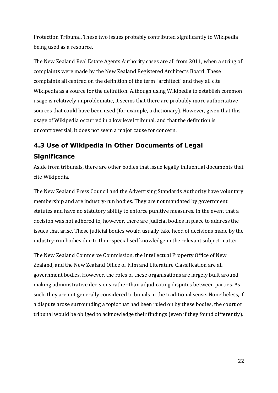Protection Tribunal. These two issues probably contributed significantly to Wikipedia being used as a resource.

The New Zealand Real Estate Agents Authority cases are all from 2011, when a string of complaints were made by the New Zealand Registered Architects Board. These complaints all centred on the definition of the term "architect" and they all cite Wikipedia as a source for the definition. Although using Wikipedia to establish common usage is relatively unproblematic, it seems that there are probably more authoritative sources that could have been used (for example, a dictionary). However, given that this usage of Wikipedia occurred in a low level tribunal, and that the definition is uncontroversial, it does not seem a major cause for concern.

# <span id="page-24-0"></span>**4.3 Use of Wikipedia in Other Documents of Legal Significance**

Aside from tribunals, there are other bodies that issue legally influential documents that cite Wikipedia.

The New Zealand Press Council and the Advertising Standards Authority have voluntary membership and are industry-run bodies. They are not mandated by government statutes and have no statutory ability to enforce punitive measures. In the event that a decision was not adhered to, however, there are judicial bodies in place to address the issues that arise. These judicial bodies would usually take heed of decisions made by the industry-run bodies due to their specialised knowledge in the relevant subject matter.

The New Zealand Commerce Commission, the Intellectual Property Office of New Zealand, and the New Zealand Office of Film and Literature Classification are all government bodies. However, the roles of these organisations are largely built around making administrative decisions rather than adjudicating disputes between parties. As such, they are not generally considered tribunals in the traditional sense. Nonetheless, if a dispute arose surrounding a topic that had been ruled on by these bodies, the court or tribunal would be obliged to acknowledge their findings (even if they found differently).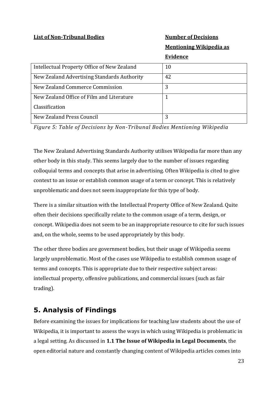#### **List of Non-Tribunal Bodies Number of Decisions**

**Mentioning Wikipedia as** 

#### **Evidence**

| Intellectual Property Office of New Zealand | 10 |
|---------------------------------------------|----|
| New Zealand Advertising Standards Authority | 42 |
| New Zealand Commerce Commission             | 3  |
| New Zealand Office of Film and Literature   |    |
| Classification                              |    |
| New Zealand Press Council                   |    |

*Figure 5: Table of Decisions by Non-Tribunal Bodies Mentioning Wikipedia*

The New Zealand Advertising Standards Authority utilises Wikipedia far more than any other body in this study. This seems largely due to the number of issues regarding colloquial terms and concepts that arise in advertising. Often Wikipedia is cited to give context to an issue or establish common usage of a term or concept. This is relatively unproblematic and does not seem inappropriate for this type of body.

There is a similar situation with the Intellectual Property Office of New Zealand. Quite often their decisions specifically relate to the common usage of a term, design, or concept. Wikipedia does not seem to be an inappropriate resource to cite for such issues and, on the whole, seems to be used appropriately by this body.

The other three bodies are government bodies, but their usage of Wikipedia seems largely unproblematic. Most of the cases use Wikipedia to establish common usage of terms and concepts. This is appropriate due to their respective subject areas: intellectual property, offensive publications, and commercial issues (such as fair trading).

## <span id="page-25-0"></span>**5. Analysis of Findings**

Before examining the issues for implications for teaching law students about the use of Wikipedia, it is important to assess the ways in which using Wikipedia is problematic in a legal setting. As discussed in **1.1 The Issue of Wikipedia in Legal Documents**, the open editorial nature and constantly changing content of Wikipedia articles comes into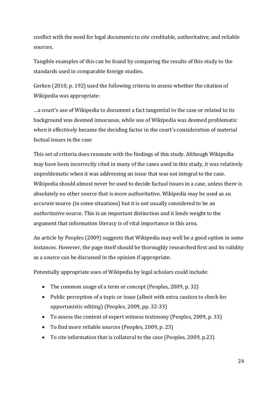conflict with the need for legal documents to cite creditable, authoritative, and reliable sources.

Tangible examples of this can be found by comparing the results of this study to the standards used in comparable foreign studies.

Gerken (2010, p. 192) used the following criteria to assess whether the citation of Wikipedia was appropriate:

…a court's use of Wikipedia to document a fact tangential to the case or related to its background was deemed innocuous, while use of Wikipedia was deemed problematic when it effectively became the deciding factor in the court's consideration of material factual issues in the case

This set of criteria does resonate with the findings of this study. Although Wikipedia may have been incorrectly cited in many of the cases used in this study, it was relatively unproblematic when it was addressing an issue that was not integral to the case. Wikipedia should almost never be used to decide factual issues in a case, unless there is absolutely no other source that is more authoritative. Wikipedia may be used as an *accurate* source (in some situations) but it is not usually considered to be an *authoritative* source. This is an important distinction and it lends weight to the argument that information literacy is of vital importance in this area.

An article by Peoples (2009) suggests that Wikipedia may well be a good option in some instances. However, the page itself should be thoroughly researched first and its validity as a source can be discussed in the opinion if appropriate.

Potentially appropriate uses of Wikipedia by legal scholars could include:

- The common usage of a term or concept (Peoples, 2009, p. 32)
- Public perception of a topic or issue (albeit with extra caution to check for opportunistic editing) (Peoples, 2009, pp. 32-33)
- To assess the content of expert witness testimony (Peoples, 2009, p. 33)
- To find more reliable sources (Peoples, 2009, p. 23)
- To cite information that is collateral to the case (Peoples, 2009, p.23)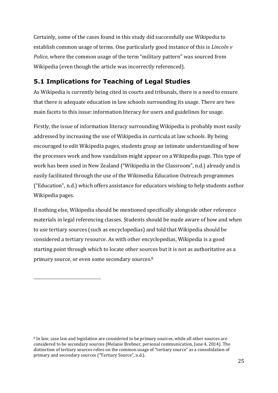Certainly, some of the cases found in this study did successfully use Wikipedia to establish common usage of terms. One particularly good instance of this is *Lincoln v Police*, where the common usage of the term "military pattern" was sourced from Wikipedia (even though the article was incorrectly referenced).

## <span id="page-27-0"></span>**5.1 Implications for Teaching of Legal Studies**

As Wikipedia is currently being cited in courts and tribunals, there is a need to ensure that there is adequate education in law schools surrounding its usage. There are two main facets to this issue: information literacy for users and guidelines for usage.

Firstly, the issue of information literacy surrounding Wikipedia is probably most easily addressed by increasing the use of Wikipedia in curricula at law schools. By being encouraged to edit Wikipedia pages, students grasp an intimate understanding of how the processes work and how vandalism might appear on a Wikipedia page. This type of work has been used in New Zealand ("Wikipedia in the Classroom", n.d.) already and is easily facilitated through the use of the Wikimedia Education Outreach programmes ("Education", n.d.) which offers assistance for educators wishing to help students author Wikipedia pages.

If nothing else, Wikipedia should be mentioned specifically alongside other reference materials in legal referencing classes. Students should be made aware of how and when to use tertiary sources (such as encyclopedias) and told that Wikipedia should be considered a tertiary resource. As with other encyclopedias, Wikipedia is a good starting point through which to locate other sources but it is not as authoritative as a primary source, or even some secondary sources.<sup>8</sup>

<u>.</u>

<sup>8</sup> In law, case law and legislation are considered to be primary sources, while all other sources are considered to be secondary sources (Melanie Brebner, personal communication, June 4, 2014). The distinction of tertiary sources relies on the common usage of "tertiary source" as a consolidation of primary and secondary sources ("Tertiary Source", n.d.).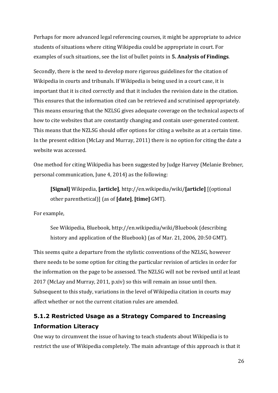Perhaps for more advanced legal referencing courses, it might be appropriate to advice students of situations where citing Wikipedia could be appropriate in court. For examples of such situations, see the list of bullet points in **5. Analysis of Findings**.

Secondly, there is the need to develop more rigorous guidelines for the citation of Wikipedia in courts and tribunals. If Wikipedia is being used in a court case, it is important that it is cited correctly and that it includes the revision date in the citation. This ensures that the information cited can be retrieved and scrutinised appropriately. This means ensuring that the NZLSG gives adequate coverage on the technical aspects of how to cite websites that are constantly changing and contain user-generated content. This means that the NZLSG should offer options for citing a website as at a certain time. In the present edition (McLay and Murray, 2011) there is no option for citing the date a website was accessed.

One method for citing Wikipedia has been suggested by Judge Harvey (Melanie Brebner, personal communication, June 4, 2014) as the following:

**[Signal]** Wikipedia, **[article]**, http://en.wikipedia/wiki/**[article]** [(optional other parenthetical)] (as of **[date]**, **[time]** GMT).

For example,

See Wikipedia, Bluebook, http://en.wikipedia/wiki/Bluebook (describing history and application of the Bluebook) (as of Mar. 21, 2006, 20:50 GMT).

This seems quite a departure from the stylistic conventions of the NZLSG, however there needs to be some option for citing the particular revision of articles in order for the information on the page to be assessed. The NZLSG will not be revised until at least 2017 (McLay and Murray, 2011, p.xiv) so this will remain an issue until then. Subsequent to this study, variations in the level of Wikipedia citation in courts may affect whether or not the current citation rules are amended.

## <span id="page-28-0"></span>**5.1.2 Restricted Usage as a Strategy Compared to Increasing Information Literacy**

One way to circumvent the issue of having to teach students about Wikipedia is to restrict the use of Wikipedia completely. The main advantage of this approach is that it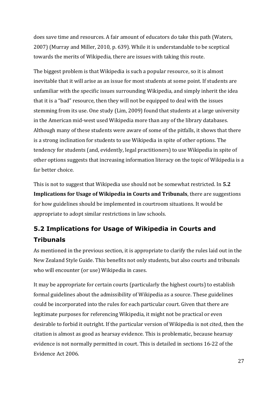does save time and resources. A fair amount of educators do take this path (Waters, 2007) (Murray and Miller, 2010, p. 639). While it is understandable to be sceptical towards the merits of Wikipedia, there are issues with taking this route.

The biggest problem is that Wikipedia is such a popular resource, so it is almost inevitable that it will arise as an issue for most students at some point. If students are unfamiliar with the specific issues surrounding Wikipedia, and simply inherit the idea that it is a "bad" resource, then they will not be equipped to deal with the issues stemming from its use. One study (Lim, 2009) found that students at a large university in the American mid-west used Wikipedia more than any of the library databases. Although many of these students were aware of some of the pitfalls, it shows that there is a strong inclination for students to use Wikipedia in spite of other options. The tendency for students (and, evidently, legal practitioners) to use Wikipedia in spite of other options suggests that increasing information literacy on the topic of Wikipedia is a far better choice.

This is not to suggest that Wikipedia use should not be somewhat restricted. In **5.2 Implications for Usage of Wikipedia in Courts and Tribunals**, there are suggestions for how guidelines should be implemented in courtroom situations. It would be appropriate to adopt similar restrictions in law schools.

# <span id="page-29-0"></span>**5.2 Implications for Usage of Wikipedia in Courts and Tribunals**

As mentioned in the previous section, it is appropriate to clarify the rules laid out in the New Zealand Style Guide. This benefits not only students, but also courts and tribunals who will encounter (or use) Wikipedia in cases.

It may be appropriate for certain courts (particularly the highest courts) to establish formal guidelines about the admissibility of Wikipedia as a source. These guidelines could be incorporated into the rules for each particular court. Given that there are legitimate purposes for referencing Wikipedia, it might not be practical or even desirable to forbid it outright. If the particular version of Wikipedia is not cited, then the citation is almost as good as hearsay evidence. This is problematic, because hearsay evidence is not normally permitted in court. This is detailed in sections 16-22 of the Evidence Act 2006.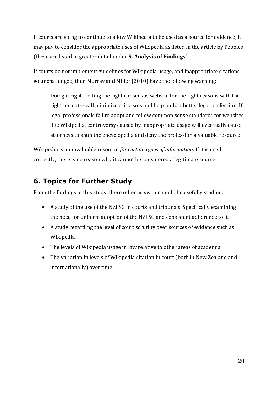If courts are going to continue to allow Wikipedia to be used as a source for evidence, it may pay to consider the appropriate uses of Wikipedia as listed in the article by Peoples (these are listed in greater detail under **5. Analysis of Findings**).

If courts do not implement guidelines for Wikipedia usage, and inappropriate citations go unchallenged, then Murray and Miller (2010) have the following warning:

Doing it right—citing the right consensus website for the right reasons with the right format—will minimize criticisms and help build a better legal profession. If legal professionals fail to adopt and follow common sense standards for websites like Wikipedia, controversy caused by inappropriate usage will eventually cause attorneys to shun the encyclopedia and deny the profession a valuable resource.

Wikipedia is an invaluable resource *for certain types of information*. If it is used correctly, there is no reason why it cannot be considered a legitimate source.

## <span id="page-30-0"></span>**6. Topics for Further Study**

From the findings of this study, there other areas that could be usefully studied:

- A study of the use of the NZLSG in courts and tribunals. Specifically examining the need for uniform adoption of the NZLSG and consistent adherence to it.
- A study regarding the level of court scrutiny over sources of evidence such as Wikipedia.
- The levels of Wikipedia usage in law relative to other areas of academia
- <span id="page-30-1"></span> The variation in levels of Wikipedia citation in court (both in New Zealand and internationally) over time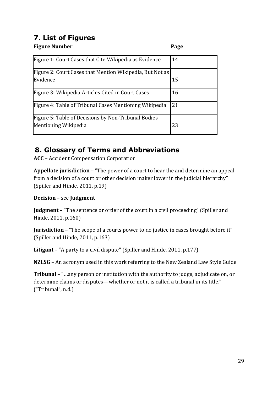# **7. List of Figures**

<span id="page-31-0"></span>**Figure Number Page**

| Figure 1: Court Cases that Cite Wikipedia as Evidence    | 14 |
|----------------------------------------------------------|----|
| Figure 2: Court Cases that Mention Wikipedia, But Not as |    |
| Evidence                                                 | 15 |
| Figure 3: Wikipedia Articles Cited in Court Cases        | 16 |
| Figure 4: Table of Tribunal Cases Mentioning Wikipedia   | 21 |
| Figure 5: Table of Decisions by Non-Tribunal Bodies      |    |
| Mentioning Wikipedia                                     | 23 |

# **8. Glossary of Terms and Abbreviations**

**ACC** – Accident Compensation Corporation

**Appellate jurisdiction** – "The power of a court to hear the and determine an appeal from a decision of a court or other decision maker lower in the judicial hierarchy" (Spiller and Hinde, 2011, p.19)

**Decision** – see **Judgment**

**Judgment** – "The sentence or order of the court in a civil proceeding" (Spiller and Hinde, 2011, p.160)

**Jurisdiction** – "The scope of a courts power to do justice in cases brought before it" (Spiller and Hinde, 2011, p.163)

**Litigant** – "A party to a civil dispute" (Spiller and Hinde, 2011, p.177)

**NZLSG** – An acronym used in this work referring to the New Zealand Law Style Guide

<span id="page-31-1"></span>**Tribunal** – "…any person or institution with the authority to judge, adjudicate on, or determine claims or disputes—whether or not it is called a tribunal in its title." ("Tribunal", n.d.)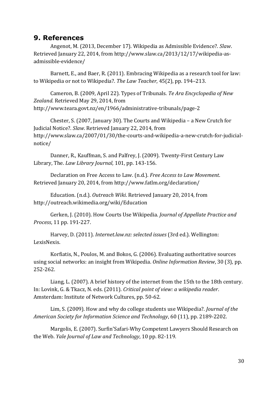### **9. References**

Angenot, M. (2013, December 17). Wikipedia as Admissible Evidence?. *Slaw*. Retrieved January 22, 2014, from http://www.slaw.ca/2013/12/17/wikipedia-asadmissible-evidence/

Barnett, E., and Baer, R. (2011). Embracing Wikipedia as a research tool for law: to Wikipedia or not to Wikipedia?. *The Law Teacher*, 45(2), pp. 194–213.

Cameron, B. (2009, April 22). Types of Tribunals. *Te Ara Encyclopedia of New Zealand*. Retrieved May 29, 2014, from http://www.teara.govt.nz/en/1966/administrative-tribunals/page-2

Chester, S. (2007, January 30). The Courts and Wikipedia – a New Crutch for Judicial Notice?. *Slaw*. Retrieved January 22, 2014, from http://www.slaw.ca/2007/01/30/the-courts-and-wikipedia-a-new-crutch-for-judicialnotice/

Danner, R., Kauffman, S. and Palfrey, J. (2009). Twenty-First Century Law Library, The. *Law Library Journal,* 101, pp. 143-156.

Declaration on Free Access to Law. (n.d.). *Free Access to Law Movement*. Retrieved January 20, 2014, from http://www.fatlm.org/declaration/

Education. (n.d.). *Outreach Wiki*. Retrieved January 20, 2014, from http://outreach.wikimedia.org/wiki/Education

Gerken, J. (2010). How Courts Use Wikipedia. *Journal of Appellate Practice and Process*, 11 pp. 191-227.

Harvey, D. (2011). *Internet.law.nz: selected issues* (3rd ed.). Wellington: LexisNexis.

Korfiatis, N., Poulos, M. and Bokos, G. (2006). Evaluating authoritative sources using social networks: an insight from Wikipedia. *Online Information Review*, 30 (3), pp. 252-262.

Liang, L. (2007). A brief history of the internet from the 15th to the 18th century. In: Lovink, G. & Tkacz, N. eds. (2011). *Critical point of view: a wikipedia reader*. Amsterdam: Institute of Network Cultures, pp. 50-62.

Lim, S. (2009). How and why do college students use Wikipedia?. *Journal of the American Society for Information Science and Technology*, 60 (11), pp. 2189-2202.

Margolis, E. (2007). Surfin'Safari-Why Competent Lawyers Should Research on the Web. *Yale Journal of Law and Technology*, 10 pp. 82-119.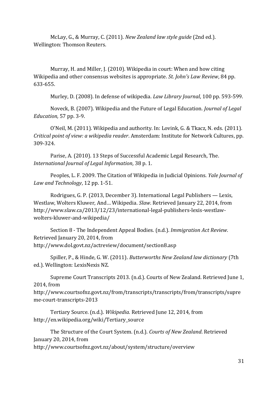McLay, G., & Murray, C. (2011). *New Zealand law style guide* (2nd ed.). Wellington: Thomson Reuters.

Murray, H. and Miller, J. (2010). Wikipedia in court: When and how citing Wikipedia and other consensus websites is appropriate. *St. John's Law Review*, 84 pp. 633-655.

Murley, D. (2008). In defense of wikipedia. *Law Library Journal*, 100 pp. 593-599.

Noveck, B. (2007). Wikipedia and the Future of Legal Education. *Journal of Legal Education,* 57 pp. 3-9.

O'Neil, M. (2011). Wikipedia and authority. In: Lovink, G. & Tkacz, N. eds. (2011). *Critical point of view: a wikipedia reader*. Amsterdam: Institute for Network Cultures, pp. 309-324.

Parise, A. (2010). 13 Steps of Successful Academic Legal Research, The. *International Journal of Legal Information,* 38 p. 1.

Peoples, L. F. 2009. The Citation of Wikipedia in Judicial Opinions. *Yale Journal of Law and Technology*, 12 pp. 1-51.

Rodrigues, G. P. (2013, December 3). International Legal Publishers — Lexis, Westlaw, Wolters Kluwer, And… Wikipedia. *Slaw*. Retrieved January 22, 2014, from http://www.slaw.ca/2013/12/23/international-legal-publishers-lexis-westlawwolters-kluwer-and-wikipedia/

Section 8 - The Independent Appeal Bodies. (n.d.). *Immigration Act Review*. Retrieved January 20, 2014, from http://www.dol.govt.nz/actreview/document/section8.asp

Spiller, P., & Hinde, G. W. (2011). *Butterworths New Zealand law dictionary* (7th ed.). Wellington: LexisNexis NZ.

Supreme Court Transcripts 2013. (n.d.). Courts of New Zealand. Retrieved June 1, 2014, from

http://www.courtsofnz.govt.nz/from/transcripts/transcripts/from/transcripts/supre me-court-transcripts-2013

Tertiary Source. (n.d.). *Wikipedia*. Retrieved June 12, 2014, from http://en.wikipedia.org/wiki/Tertiary\_source

The Structure of the Court System. (n.d.). *Courts of New Zealand*. Retrieved January 20, 2014, from

http://www.courtsofnz.govt.nz/about/system/structure/overview